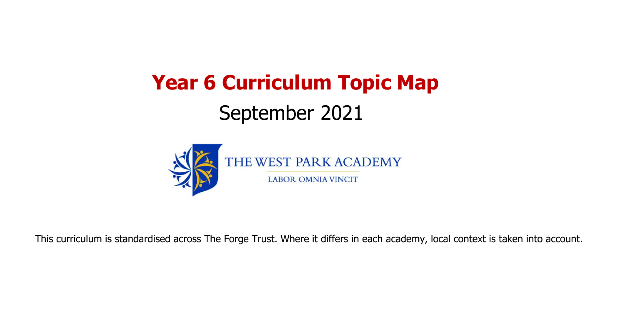# **Year 6 Curriculum Topic Map** September 2021



This curriculum is standardised across The Forge Trust. Where it differs in each academy, local context is taken into account.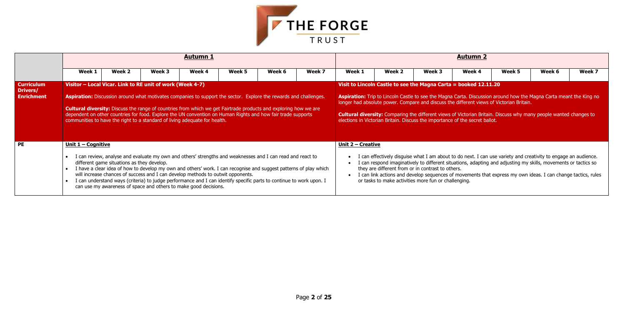

|                                                    |                                  |                                                                                                                                                                                                   |        | <b>Autumn 1</b> |        |                                                                                                                                                                                                                                                                                                                                                              |        |                           |                                                                                                                                                                                                                                                                                                                                                                                                                                                                                                       |        | <b>Autumn 2</b> |        |        |        |
|----------------------------------------------------|----------------------------------|---------------------------------------------------------------------------------------------------------------------------------------------------------------------------------------------------|--------|-----------------|--------|--------------------------------------------------------------------------------------------------------------------------------------------------------------------------------------------------------------------------------------------------------------------------------------------------------------------------------------------------------------|--------|---------------------------|-------------------------------------------------------------------------------------------------------------------------------------------------------------------------------------------------------------------------------------------------------------------------------------------------------------------------------------------------------------------------------------------------------------------------------------------------------------------------------------------------------|--------|-----------------|--------|--------|--------|
|                                                    | Week 1                           | Week 2                                                                                                                                                                                            | Week 3 | Week 4          | Week 5 | Week 6                                                                                                                                                                                                                                                                                                                                                       | Week 7 | Week 1                    | Week 2                                                                                                                                                                                                                                                                                                                                                                                                                                                                                                | Week 3 | Week 4          | Week 5 | Week 6 | Week 7 |
| <b>Curriculum</b><br>Drivers/<br><b>Enrichment</b> |                                  | Visitor - Local Vicar. Link to RE unit of work (Week 4-7)<br>communities to have the right to a standard of living adequate for health.                                                           |        |                 |        | Aspiration: Discussion around what motivates companies to support the sector. Explore the rewards and challenges.<br><b>Cultural diversity:</b> Discuss the range of countries from which we get Fairtrade products and exploring how we are<br>dependent on other countries for food. Explore the UN convention on Human Rights and how fair trade supports |        |                           | Visit to Lincoln Castle to see the Magna Carta = booked 12.11.20<br><b>Aspiration:</b> Trip to Lincoln Castle to see the Magna Carta. Discussion around how the Magna Carta meant the King no<br>longer had absolute power. Compare and discuss the different views of Victorian Britain.<br><b>Cultural diversity:</b> Comparing the different views of Victorian Britain. Discuss why many people wanted changes to<br>elections in Victorian Britain. Discuss the importance of the secret ballot. |        |                 |        |        |        |
| <b>PE</b>                                          | <u><b>Unit 1 - Cognitive</b></u> | different game situations as they develop.<br>will increase chances of success and I can develop methods to outwit opponents.<br>can use my awareness of space and others to make good decisions. |        |                 |        | I can review, analyse and evaluate my own and others' strengths and weaknesses and I can read and react to<br>I have a clear idea of how to develop my own and others' work. I can recognise and suggest patterns of play which<br>I can understand ways (criteria) to judge performance and I can identify specific parts to continue to work upon. I       |        | <u> Unit 2 – Creative</u> | I can effectively disguise what I am about to do next. I can use variety and creativity to engage an audience.<br>I can respond imaginatively to different situations, adapting and adjusting my skills, movements or tactics so<br>they are different from or in contrast to others.<br>I can link actions and develop sequences of movements that express my own ideas. I can change tactics, rules<br>or tasks to make activities more fun or challenging.                                         |        |                 |        |        |        |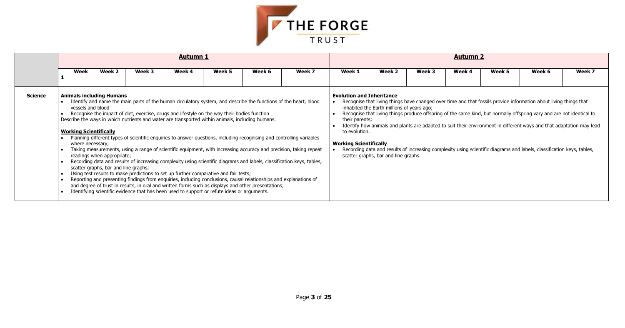

|                |                                                                                                           |                                                                    |        | <b>Autumn 1</b> |                                                                                                                                                                                                                                                                                                                                                                                         |                                                                                                                                                                                                                          |                                                                                                                                                                                                                                                                                                                                                                                                                                                                                          |                                                                                                      |                                                                                    |        | <b>Autumn 2</b> |        |                                                                                                                                                                                                                                                                                                                                                                                                                                                                                              |        |
|----------------|-----------------------------------------------------------------------------------------------------------|--------------------------------------------------------------------|--------|-----------------|-----------------------------------------------------------------------------------------------------------------------------------------------------------------------------------------------------------------------------------------------------------------------------------------------------------------------------------------------------------------------------------------|--------------------------------------------------------------------------------------------------------------------------------------------------------------------------------------------------------------------------|------------------------------------------------------------------------------------------------------------------------------------------------------------------------------------------------------------------------------------------------------------------------------------------------------------------------------------------------------------------------------------------------------------------------------------------------------------------------------------------|------------------------------------------------------------------------------------------------------|------------------------------------------------------------------------------------|--------|-----------------|--------|----------------------------------------------------------------------------------------------------------------------------------------------------------------------------------------------------------------------------------------------------------------------------------------------------------------------------------------------------------------------------------------------------------------------------------------------------------------------------------------------|--------|
|                | Week                                                                                                      | Week 2                                                             | Week 3 | Week 4          | Week 5                                                                                                                                                                                                                                                                                                                                                                                  | Week 6                                                                                                                                                                                                                   | Week 7                                                                                                                                                                                                                                                                                                                                                                                                                                                                                   | Week 1                                                                                               | Week 2                                                                             | Week 3 | Week 4          | Week 5 | Week 6                                                                                                                                                                                                                                                                                                                                                                                                                                                                                       | Week 7 |
| <b>Science</b> | <b>Animals including Humans</b><br>vessels and blood<br><b>Working Scientifically</b><br>where necessary; | readings when appropriate;<br>scatter graphs, bar and line graphs; |        |                 | Recognise the impact of diet, exercise, drugs and lifestyle on the way their bodies function<br>Describe the ways in which nutrients and water are transported within animals, including humans.<br>Using test results to make predictions to set up further comparative and fair tests;<br>Identifying scientific evidence that has been used to support or refute ideas or arguments. | Reporting and presenting findings from enquiries, including conclusions, causal relationships and explanations of<br>and degree of trust in results, in oral and written forms such as displays and other presentations; | Identify and name the main parts of the human circulatory system, and describe the functions of the heart, blood<br>Planning different types of scientific enquiries to answer questions, including recognising and controlling variables<br>Taking measurements, using a range of scientific equipment, with increasing accuracy and precision, taking repeat<br>Recording data and results of increasing complexity using scientific diagrams and labels, classification keys, tables, | <b>Evolution and Inheritance</b><br>their parents;<br>to evolution.<br><b>Working Scientifically</b> | inhabited the Earth millions of years ago;<br>scatter graphs, bar and line graphs. |        |                 |        | Recognise that living things have changed over time and that fossils provide information about living things that<br>Recognise that living things produce offspring of the same kind, but normally offspring vary and are not identical to<br>Identify how animals and plants are adapted to suit their environment in different ways and that adaptation may lead<br>Recording data and results of increasing complexity using scientific diagrams and labels, classification keys, tables, |        |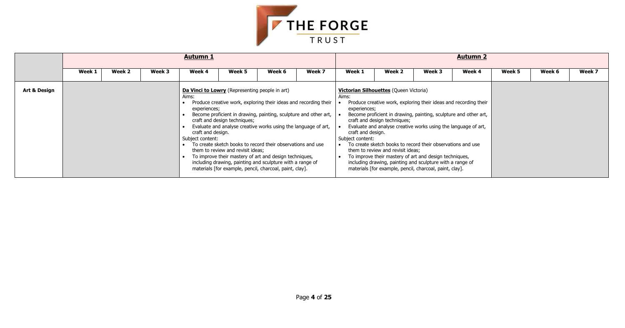

|              |        |        |        | <b>Autumn 1</b>                                                                                                  |                                                                   |                                                                                                                                                                                                                                                                                                                                                                                                                                                         |        |                                                                |                                                                                                                                                                                                                                                                                                                                                                                                                                       |        | <b>Autumn 2</b>                                                                                                                      |        |        |        |
|--------------|--------|--------|--------|------------------------------------------------------------------------------------------------------------------|-------------------------------------------------------------------|---------------------------------------------------------------------------------------------------------------------------------------------------------------------------------------------------------------------------------------------------------------------------------------------------------------------------------------------------------------------------------------------------------------------------------------------------------|--------|----------------------------------------------------------------|---------------------------------------------------------------------------------------------------------------------------------------------------------------------------------------------------------------------------------------------------------------------------------------------------------------------------------------------------------------------------------------------------------------------------------------|--------|--------------------------------------------------------------------------------------------------------------------------------------|--------|--------|--------|
|              | Week 1 | Week 2 | Week 3 | Week 4                                                                                                           | Week 5                                                            | Week 6                                                                                                                                                                                                                                                                                                                                                                                                                                                  | Week 7 | Week 1                                                         | Week 2                                                                                                                                                                                                                                                                                                                                                                                                                                | Week 3 | Week 4                                                                                                                               | Week 5 | Week 6 | Week 7 |
| Art & Design |        |        |        | Da Vinci to Lowry (Representing people in art)<br>Aims:<br>experiences;<br>craft and design.<br>Subject content: | craft and design techniques;<br>them to review and revisit ideas; | Produce creative work, exploring their ideas and recording their<br>Become proficient in drawing, painting, sculpture and other art,<br>Evaluate and analyse creative works using the language of art,<br>To create sketch books to record their observations and use<br>To improve their mastery of art and design techniques,<br>including drawing, painting and sculpture with a range of<br>materials [for example, pencil, charcoal, paint, clay]. |        | Aims:<br>experiences;<br>craft and design.<br>Subject content: | <b>Victorian Silhouettes (Queen Victoria)</b><br>craft and design techniques;<br>Evaluate and analyse creative works using the language of art,<br>To create sketch books to record their observations and use<br>them to review and revisit ideas;<br>To improve their mastery of art and design techniques,<br>including drawing, painting and sculpture with a range of<br>materials [for example, pencil, charcoal, paint, clay]. |        | Produce creative work, exploring their ideas and recording their<br>Become proficient in drawing, painting, sculpture and other art, |        |        |        |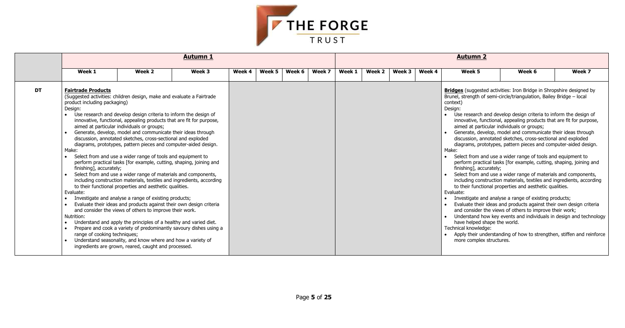

|           |                                                                                                                                                                                                                                                                                                                                                |                                                                                                                                                                                                                                                                                                                                                                                                                                                                                                                                                                                                                                                                                                                                                                                                                                                                                                                                                                                                       | <b>Autumn 1</b>                                                                                                                             |        |        |        |        |        |        |        |        | <b>Autumn 2</b>                                                                                                                                                                                                                                                                                                                                                                                      |                                                                                                                                                                                                                                                                                                                                                                                                                                                                                                                                                                                                                                                                                                                                                                                                                                                                                                                                                                                                                                   |        |
|-----------|------------------------------------------------------------------------------------------------------------------------------------------------------------------------------------------------------------------------------------------------------------------------------------------------------------------------------------------------|-------------------------------------------------------------------------------------------------------------------------------------------------------------------------------------------------------------------------------------------------------------------------------------------------------------------------------------------------------------------------------------------------------------------------------------------------------------------------------------------------------------------------------------------------------------------------------------------------------------------------------------------------------------------------------------------------------------------------------------------------------------------------------------------------------------------------------------------------------------------------------------------------------------------------------------------------------------------------------------------------------|---------------------------------------------------------------------------------------------------------------------------------------------|--------|--------|--------|--------|--------|--------|--------|--------|------------------------------------------------------------------------------------------------------------------------------------------------------------------------------------------------------------------------------------------------------------------------------------------------------------------------------------------------------------------------------------------------------|-----------------------------------------------------------------------------------------------------------------------------------------------------------------------------------------------------------------------------------------------------------------------------------------------------------------------------------------------------------------------------------------------------------------------------------------------------------------------------------------------------------------------------------------------------------------------------------------------------------------------------------------------------------------------------------------------------------------------------------------------------------------------------------------------------------------------------------------------------------------------------------------------------------------------------------------------------------------------------------------------------------------------------------|--------|
|           | Week 1                                                                                                                                                                                                                                                                                                                                         | Week 2                                                                                                                                                                                                                                                                                                                                                                                                                                                                                                                                                                                                                                                                                                                                                                                                                                                                                                                                                                                                | Week 3                                                                                                                                      | Week 4 | Week 5 | Week 6 | Week 7 | Week 1 | Week 2 | Week 3 | Week 4 | Week 5                                                                                                                                                                                                                                                                                                                                                                                               | Week 6                                                                                                                                                                                                                                                                                                                                                                                                                                                                                                                                                                                                                                                                                                                                                                                                                                                                                                                                                                                                                            | Week 7 |
| <b>DT</b> | <b>Fairtrade Products</b><br>(Suggested activities: children design, make and evaluate a Fairtrade<br>product including packaging)<br>Design:<br>$\bullet$<br>aimed at particular individuals or groups;<br>Make:<br>$\bullet$<br>finishing], accurately;<br>$\bullet$<br>Evaluate:<br>Nutrition:<br>range of cooking techniques;<br>$\bullet$ | Use research and develop design criteria to inform the design of<br>innovative, functional, appealing products that are fit for purpose,<br>Generate, develop, model and communicate their ideas through<br>discussion, annotated sketches, cross-sectional and exploded<br>diagrams, prototypes, pattern pieces and computer-aided design.<br>Select from and use a wider range of tools and equipment to<br>perform practical tasks [for example, cutting, shaping, joining and<br>Select from and use a wider range of materials and components,<br>to their functional properties and aesthetic qualities.<br>Investigate and analyse a range of existing products;<br>Evaluate their ideas and products against their own design criteria<br>and consider the views of others to improve their work.<br>Understand and apply the principles of a healthy and varied diet.<br>Understand seasonality, and know where and how a variety of<br>ingredients are grown, reared, caught and processed. | including construction materials, textiles and ingredients, according<br>Prepare and cook a variety of predominantly savoury dishes using a |        |        |        |        |        |        |        |        | <b>Bridges</b> (suggested activities: Iron Bridge in Shropshire designed by<br>Brunel, strength of semi-circle/triangulation, Bailey Bridge - local<br>context)<br>Design:<br>$\bullet$<br>aimed at particular individuals or groups;<br>Make:<br>$\bullet$<br>finishing], accurately;<br>Evaluate:<br>$\bullet$<br>have helped shape the world.<br>Technical knowledge:<br>more complex structures. | Use research and develop design criteria to inform the design of<br>innovative, functional, appealing products that are fit for purpose,<br>Generate, develop, model and communicate their ideas through<br>discussion, annotated sketches, cross-sectional and exploded<br>diagrams, prototypes, pattern pieces and computer-aided design.<br>Select from and use a wider range of tools and equipment to<br>perform practical tasks [for example, cutting, shaping, joining and<br>Select from and use a wider range of materials and components,<br>including construction materials, textiles and ingredients, according<br>to their functional properties and aesthetic qualities.<br>Investigate and analyse a range of existing products;<br>Evaluate their ideas and products against their own design criteria<br>and consider the views of others to improve their work;<br>Understand how key events and individuals in design and technology<br>Apply their understanding of how to strengthen, stiffen and reinforce |        |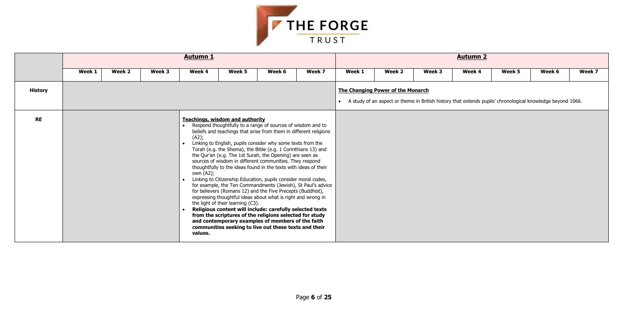

|                |        |        |        | <b>Autumn 1</b>               |                                                                             |                                                                                                                                                                                                                                                                                                                                                                                                                                                                                                                                                                                                                                                                                                                                                                                                                                                                                                    |                                                              |        |                                                                                                                                                          |        | <b>Autumn 2</b> |        |        |        |
|----------------|--------|--------|--------|-------------------------------|-----------------------------------------------------------------------------|----------------------------------------------------------------------------------------------------------------------------------------------------------------------------------------------------------------------------------------------------------------------------------------------------------------------------------------------------------------------------------------------------------------------------------------------------------------------------------------------------------------------------------------------------------------------------------------------------------------------------------------------------------------------------------------------------------------------------------------------------------------------------------------------------------------------------------------------------------------------------------------------------|--------------------------------------------------------------|--------|----------------------------------------------------------------------------------------------------------------------------------------------------------|--------|-----------------|--------|--------|--------|
|                | Week 1 | Week 2 | Week 3 | Week 4                        | Week 5                                                                      | Week 6                                                                                                                                                                                                                                                                                                                                                                                                                                                                                                                                                                                                                                                                                                                                                                                                                                                                                             | Week 7                                                       | Week 1 | Week 2                                                                                                                                                   | Week 3 | Week 4          | Week 5 | Week 6 | Week 7 |
| <b>History</b> |        |        |        |                               |                                                                             |                                                                                                                                                                                                                                                                                                                                                                                                                                                                                                                                                                                                                                                                                                                                                                                                                                                                                                    |                                                              |        | <b>The Changing Power of the Monarch</b><br>• A study of an aspect or theme in British history that extends pupils' chronological knowledge beyond 1066. |        |                 |        |        |        |
| <b>RE</b>      |        |        |        | (A2);<br>own (A2);<br>values. | <b>Teachings, wisdom and authority</b><br>the light of their learning (C3). | Respond thoughtfully to a range of sources of wisdom and to<br>beliefs and teachings that arise from them in different religions<br>Linking to English, pupils consider why some texts from the<br>Torah (e.g. the Shema), the Bible (e.g. 1 Corinthians 13) and<br>the Qur'an (e.g. The 1st Surah, the Opening) are seen as<br>sources of wisdom in different communities. They respond<br>thoughtfully to the ideas found in the texts with ideas of their<br>Linking to Citizenship Education, pupils consider moral codes,<br>for believers (Romans 12) and the Five Precepts (Buddhist),<br>expressing thoughtful ideas about what is right and wrong in<br>Religious content will include: carefully selected texts<br>from the scriptures of the religions selected for study<br>and contemporary examples of members of the faith<br>communities seeking to live out these texts and their | for example, the Ten Commandments (Jewish), St Paul's advice |        |                                                                                                                                                          |        |                 |        |        |        |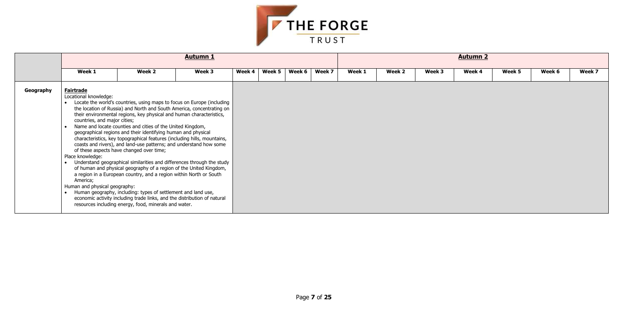

|           |                                                                                                                                                                                        |                                                                                                                                                                                                                                                                                                                                                                                                                                                                                 | <b>Autumn 1</b>                                                                                                                                                                                                                                                                                                                                                                                                                                   |        |        |        |        |        |        |        | <b>Autumn 2</b> |        |        |        |
|-----------|----------------------------------------------------------------------------------------------------------------------------------------------------------------------------------------|---------------------------------------------------------------------------------------------------------------------------------------------------------------------------------------------------------------------------------------------------------------------------------------------------------------------------------------------------------------------------------------------------------------------------------------------------------------------------------|---------------------------------------------------------------------------------------------------------------------------------------------------------------------------------------------------------------------------------------------------------------------------------------------------------------------------------------------------------------------------------------------------------------------------------------------------|--------|--------|--------|--------|--------|--------|--------|-----------------|--------|--------|--------|
|           | Week 1                                                                                                                                                                                 | Week 2                                                                                                                                                                                                                                                                                                                                                                                                                                                                          | Week 3                                                                                                                                                                                                                                                                                                                                                                                                                                            | Week 4 | Week 5 | Week 6 | Week 7 | Week 1 | Week 2 | Week 3 | Week 4          | Week 5 | Week 6 | Week 7 |
| Geography | <b>Fairtrade</b><br>Locational knowledge:<br>countries, and major cities;<br>of these aspects have changed over time;<br>Place knowledge:<br>America;<br>Human and physical geography: | their environmental regions, key physical and human characteristics,<br>Name and locate counties and cities of the United Kingdom,<br>geographical regions and their identifying human and physical<br>a region in a European country, and a region within North or South<br>Human geography, including: types of settlement and land use,<br>economic activity including trade links, and the distribution of natural<br>resources including energy, food, minerals and water. | Locate the world's countries, using maps to focus on Europe (including<br>the location of Russia) and North and South America, concentrating on<br>characteristics, key topographical features (including hills, mountains,<br>coasts and rivers), and land-use patterns; and understand how some<br>Understand geographical similarities and differences through the study<br>of human and physical geography of a region of the United Kingdom, |        |        |        |        |        |        |        |                 |        |        |        |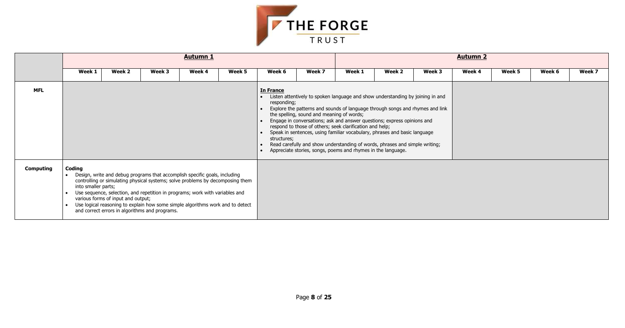

|                  |                               |                                                                                                                                                                                                                                                                                                                                                                                                                        |        | <b>Autumn 1</b> |        |                                                |                                           |                                                                                                                                                                                                                                                                                                                                                                                                                                                                                                                                    |        |        | <b>Autumn 2</b> |        |        |        |
|------------------|-------------------------------|------------------------------------------------------------------------------------------------------------------------------------------------------------------------------------------------------------------------------------------------------------------------------------------------------------------------------------------------------------------------------------------------------------------------|--------|-----------------|--------|------------------------------------------------|-------------------------------------------|------------------------------------------------------------------------------------------------------------------------------------------------------------------------------------------------------------------------------------------------------------------------------------------------------------------------------------------------------------------------------------------------------------------------------------------------------------------------------------------------------------------------------------|--------|--------|-----------------|--------|--------|--------|
|                  | Week 1                        | Week 2                                                                                                                                                                                                                                                                                                                                                                                                                 | Week 3 | Week 4          | Week 5 | Week 6                                         | Week 7                                    | Week 1                                                                                                                                                                                                                                                                                                                                                                                                                                                                                                                             | Week 2 | Week 3 | Week 4          | Week 5 | Week 6 | Week 7 |
| <b>MFL</b>       |                               |                                                                                                                                                                                                                                                                                                                                                                                                                        |        |                 |        | <b>In France</b><br>responding;<br>structures; | the spelling, sound and meaning of words; | Listen attentively to spoken language and show understanding by joining in and<br>Explore the patterns and sounds of language through songs and rhymes and link<br>Engage in conversations; ask and answer questions; express opinions and<br>respond to those of others; seek clarification and help;<br>Speak in sentences, using familiar vocabulary, phrases and basic language<br>Read carefully and show understanding of words, phrases and simple writing;<br>Appreciate stories, songs, poems and rhymes in the language. |        |        |                 |        |        |        |
| <b>Computing</b> | Coding<br>into smaller parts; | Design, write and debug programs that accomplish specific goals, including<br>controlling or simulating physical systems; solve problems by decomposing them<br>Use sequence, selection, and repetition in programs; work with variables and<br>various forms of input and output;<br>Use logical reasoning to explain how some simple algorithms work and to detect<br>and correct errors in algorithms and programs. |        |                 |        |                                                |                                           |                                                                                                                                                                                                                                                                                                                                                                                                                                                                                                                                    |        |        |                 |        |        |        |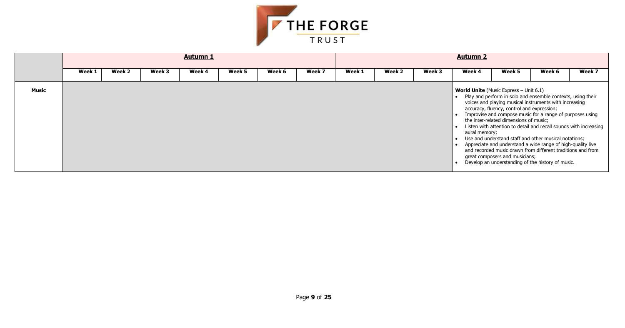

|       |        |        |        | <b>Autumn 1</b> |        |        |        |        |        |        | <b>Autumn 2</b> |                                                                                                                                                                           |                                                                                                                                                                                                                                                                                                                                                                                                                                                                                                     |        |
|-------|--------|--------|--------|-----------------|--------|--------|--------|--------|--------|--------|-----------------|---------------------------------------------------------------------------------------------------------------------------------------------------------------------------|-----------------------------------------------------------------------------------------------------------------------------------------------------------------------------------------------------------------------------------------------------------------------------------------------------------------------------------------------------------------------------------------------------------------------------------------------------------------------------------------------------|--------|
|       | Week 1 | Week 2 | Week 3 | Week 4          | Week 5 | Week 6 | Week 7 | Week 1 | Week 2 | Week 3 | Week 4          | Week 5                                                                                                                                                                    | Week 6                                                                                                                                                                                                                                                                                                                                                                                                                                                                                              | Week 7 |
| Music |        |        |        |                 |        |        |        |        |        |        | aural memory;   | <b>World Unite</b> (Music Express $-$ Unit 6.1)<br>accuracy, fluency, control and expression;<br>the inter-related dimensions of music;<br>great composers and musicians; | Play and perform in solo and ensemble contexts, using their<br>voices and playing musical instruments with increasing<br>Improvise and compose music for a range of purposes using<br>Listen with attention to detail and recall sounds with increasing<br>Use and understand staff and other musical notations;<br>Appreciate and understand a wide range of high-quality live<br>and recorded music drawn from different traditions and from<br>Develop an understanding of the history of music. |        |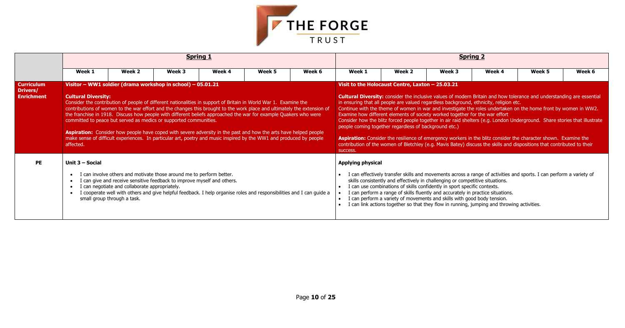

|                                                    |                                         |                                                                                                                                                                                                                                                                                                                                                                                                                                                                                                                                                                                                                                                                                                                                                       |        | <b>Spring 1</b> |        |        |                   |                                                                                                                                                                                                                                                                                                                                                                                                                       |        | <b>Spring 2</b> |                                                                                                                                                                                                                                                                                                                                                                                                                                                                                                                                                                                                                             |        |
|----------------------------------------------------|-----------------------------------------|-------------------------------------------------------------------------------------------------------------------------------------------------------------------------------------------------------------------------------------------------------------------------------------------------------------------------------------------------------------------------------------------------------------------------------------------------------------------------------------------------------------------------------------------------------------------------------------------------------------------------------------------------------------------------------------------------------------------------------------------------------|--------|-----------------|--------|--------|-------------------|-----------------------------------------------------------------------------------------------------------------------------------------------------------------------------------------------------------------------------------------------------------------------------------------------------------------------------------------------------------------------------------------------------------------------|--------|-----------------|-----------------------------------------------------------------------------------------------------------------------------------------------------------------------------------------------------------------------------------------------------------------------------------------------------------------------------------------------------------------------------------------------------------------------------------------------------------------------------------------------------------------------------------------------------------------------------------------------------------------------------|--------|
|                                                    | Week 1                                  | Week 2                                                                                                                                                                                                                                                                                                                                                                                                                                                                                                                                                                                                                                                                                                                                                | Week 3 | Week 4          | Week 5 | Week 6 | Week 1            | Week 2                                                                                                                                                                                                                                                                                                                                                                                                                | Week 3 | Week 4          | Week 5                                                                                                                                                                                                                                                                                                                                                                                                                                                                                                                                                                                                                      | Week 6 |
| <b>Curriculum</b><br>Drivers/<br><b>Enrichment</b> | <b>Cultural Diversity:</b><br>affected. | Visitor - WW1 soldier (drama workshop in school) - 05.01.21<br>Consider the contribution of people of different nationalities in support of Britain in World War 1. Examine the<br>contributions of women to the war effort and the changes this brought to the work place and ultimately the extension of<br>the franchise in 1918. Discuss how people with different beliefs approached the war for example Quakers who were<br>committed to peace but served as medics or supported communities.<br><b>Aspiration:</b> Consider how people have coped with severe adversity in the past and how the arts have helped people<br>make sense of difficult experiences. In particular art, poetry and music inspired by the WW1 and produced by people |        |                 |        |        | success.          | Visit to the Holocaust Centre, Laxton - 25.03.21<br>in ensuring that all people are valued regardless background, ethnicity, religion etc.<br>Examine how different elements of society worked together for the war effort<br>people coming together regardless of background etc.)                                                                                                                                   |        |                 | <b>Cultural Diversity:</b> consider the inclusive values of modern Britain and how tolerance and understanding are essential<br>Continue with the theme of women in war and investigate the roles undertaken on the home front by women in WW2.<br>Consider how the blitz forced people together in air raid shelters (e.g. London Underground. Share stories that illustrate<br>Aspiration: Consider the resilience of emergency workers in the blitz consider the character shown. Examine the<br>contribution of the women of Bletchley (e.g. Mavis Batey) discuss the skills and dispositions that contributed to their |        |
| PE                                                 | Unit 3 - Social                         | I can involve others and motivate those around me to perform better.<br>I can give and receive sensitive feedback to improve myself and others.<br>I can negotiate and collaborate appropriately.<br>I cooperate well with others and give helpful feedback. I help organise roles and responsibilities and I can guide a<br>small group through a task.                                                                                                                                                                                                                                                                                                                                                                                              |        |                 |        |        | Applying physical | skills consistently and effectively in challenging or competitive situations.<br>I can use combinations of skills confidently in sport specific contexts.<br>I can perform a range of skills fluently and accurately in practice situations.<br>I can perform a variety of movements and skills with good body tension.<br>I can link actions together so that they flow in running, jumping and throwing activities. |        |                 | I can effectively transfer skills and movements across a range of activities and sports. I can perform a variety of                                                                                                                                                                                                                                                                                                                                                                                                                                                                                                         |        |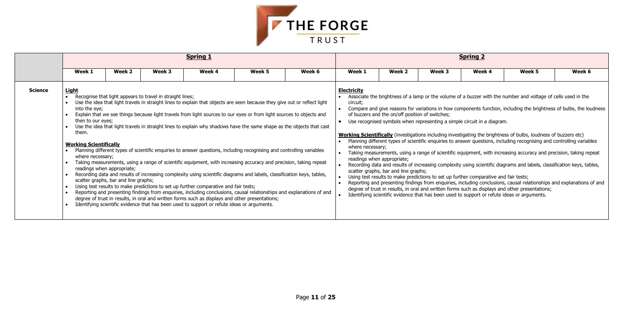

|                |                                                                                                                  |                                                                    |                                                           | <b>Spring 1</b>                                                                                                                                                                                                                                                                                                                                                                                                                                                                                                                                                                                                                                                                                                                                                                                                                                                                                                                                                                                                                                                                                                                                                       |        |        |                                                    |                                                                                                                       |        | <b>Spring 2</b>                                                                                                                                                 |                                                                                                                                                                                                                                                                                                                                                                                                                                                                                                                                                                                                                                                                                                                                                                                                                                                                                                                                             |                                                                                                                     |
|----------------|------------------------------------------------------------------------------------------------------------------|--------------------------------------------------------------------|-----------------------------------------------------------|-----------------------------------------------------------------------------------------------------------------------------------------------------------------------------------------------------------------------------------------------------------------------------------------------------------------------------------------------------------------------------------------------------------------------------------------------------------------------------------------------------------------------------------------------------------------------------------------------------------------------------------------------------------------------------------------------------------------------------------------------------------------------------------------------------------------------------------------------------------------------------------------------------------------------------------------------------------------------------------------------------------------------------------------------------------------------------------------------------------------------------------------------------------------------|--------|--------|----------------------------------------------------|-----------------------------------------------------------------------------------------------------------------------|--------|-----------------------------------------------------------------------------------------------------------------------------------------------------------------|---------------------------------------------------------------------------------------------------------------------------------------------------------------------------------------------------------------------------------------------------------------------------------------------------------------------------------------------------------------------------------------------------------------------------------------------------------------------------------------------------------------------------------------------------------------------------------------------------------------------------------------------------------------------------------------------------------------------------------------------------------------------------------------------------------------------------------------------------------------------------------------------------------------------------------------------|---------------------------------------------------------------------------------------------------------------------|
|                | Week 1                                                                                                           | Week 2                                                             | Week 3                                                    | Week 4                                                                                                                                                                                                                                                                                                                                                                                                                                                                                                                                                                                                                                                                                                                                                                                                                                                                                                                                                                                                                                                                                                                                                                | Week 5 | Week 6 | Week 1                                             | Week 2                                                                                                                | Week 3 | Week 4                                                                                                                                                          | Week 5                                                                                                                                                                                                                                                                                                                                                                                                                                                                                                                                                                                                                                                                                                                                                                                                                                                                                                                                      | Week 6                                                                                                              |
| <b>Science</b> | <u>Light</u><br>into the eye;<br>then to our eyes;<br>them.<br><b>Working Scientifically</b><br>where necessary; | readings when appropriate;<br>scatter graphs, bar and line graphs; | Recognise that light appears to travel in straight lines; | Use the idea that light travels in straight lines to explain that objects are seen because they give out or reflect light<br>Explain that we see things because light travels from light sources to our eyes or from light sources to objects and<br>Use the idea that light travels in straight lines to explain why shadows have the same shape as the objects that cast<br>Planning different types of scientific enquiries to answer questions, including recognising and controlling variables<br>Taking measurements, using a range of scientific equipment, with increasing accuracy and precision, taking repeat<br>Recording data and results of increasing complexity using scientific diagrams and labels, classification keys, tables,<br>Using test results to make predictions to set up further comparative and fair tests;<br>Reporting and presenting findings from enquiries, including conclusions, causal relationships and explanations of and<br>degree of trust in results, in oral and written forms such as displays and other presentations;<br>Identifying scientific evidence that has been used to support or refute ideas or arguments. |        |        | <b>Electricity</b><br>circuit:<br>where necessary; | of buzzers and the on/off position of switches;<br>readings when appropriate;<br>scatter graphs, bar and line graphs; |        | Use recognised symbols when representing a simple circuit in a diagram.<br>Using test results to make predictions to set up further comparative and fair tests; | Associate the brightness of a lamp or the volume of a buzzer with the number and voltage of cells used in the<br><b>Working Scientifically</b> (investigations including investigating the brightness of bulbs, loudness of buzzers etc)<br>Planning different types of scientific enquiries to answer questions, including recognising and controlling variables<br>Taking measurements, using a range of scientific equipment, with increasing accuracy and precision, taking repeat<br>Recording data and results of increasing complexity using scientific diagrams and labels, classification keys, tables,<br>Reporting and presenting findings from enquiries, including conclusions, causal relationships and explanations of and<br>degree of trust in results, in oral and written forms such as displays and other presentations;<br>Identifying scientific evidence that has been used to support or refute ideas or arguments. | Compare and give reasons for variations in how components function, including the brightness of bulbs, the loudness |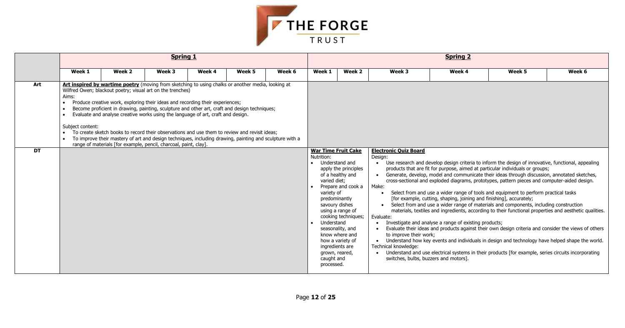

|                        |                                        |                                                                                                                                                                                                                                                                                                                                                                                                                                                                                                                                                                                                                                                                                                                        | <b>Spring 1</b> |        |        |        |                                                                                                                                                                                                            |                                                                                                                                                                     |                                                                                                                                                                       | <b>Spring 2</b>                                                                                                              |                                                                                                                                                                                                                                                                                                                                                                                                                                                                                                                                                                                                                                                                                                                                                                                                                                                                                             |                                                                                                      |
|------------------------|----------------------------------------|------------------------------------------------------------------------------------------------------------------------------------------------------------------------------------------------------------------------------------------------------------------------------------------------------------------------------------------------------------------------------------------------------------------------------------------------------------------------------------------------------------------------------------------------------------------------------------------------------------------------------------------------------------------------------------------------------------------------|-----------------|--------|--------|--------|------------------------------------------------------------------------------------------------------------------------------------------------------------------------------------------------------------|---------------------------------------------------------------------------------------------------------------------------------------------------------------------|-----------------------------------------------------------------------------------------------------------------------------------------------------------------------|------------------------------------------------------------------------------------------------------------------------------|---------------------------------------------------------------------------------------------------------------------------------------------------------------------------------------------------------------------------------------------------------------------------------------------------------------------------------------------------------------------------------------------------------------------------------------------------------------------------------------------------------------------------------------------------------------------------------------------------------------------------------------------------------------------------------------------------------------------------------------------------------------------------------------------------------------------------------------------------------------------------------------------|------------------------------------------------------------------------------------------------------|
|                        | Week 1                                 | Week 2                                                                                                                                                                                                                                                                                                                                                                                                                                                                                                                                                                                                                                                                                                                 | Week 3          | Week 4 | Week 5 | Week 6 | Week 1                                                                                                                                                                                                     | Week 2                                                                                                                                                              | Week 3                                                                                                                                                                | Week 4                                                                                                                       | Week 5                                                                                                                                                                                                                                                                                                                                                                                                                                                                                                                                                                                                                                                                                                                                                                                                                                                                                      | Week 6                                                                                               |
| Art<br>$\overline{DT}$ | Aims:<br>Subject content:<br>$\bullet$ | Art inspired by wartime poetry (moving from sketching to using chalks or another media, looking at<br>Wilfred Owen; blackout poetry; visual art on the trenches)<br>Produce creative work, exploring their ideas and recording their experiences;<br>Become proficient in drawing, painting, sculpture and other art, craft and design techniques;<br>Evaluate and analyse creative works using the language of art, craft and design.<br>To create sketch books to record their observations and use them to review and revisit ideas;<br>To improve their mastery of art and design techniques, including drawing, painting and sculpture with a<br>range of materials [for example, pencil, charcoal, paint, clay]. |                 |        |        |        | <b>War Time Fruit Cake</b><br>Nutrition:<br>Understand and<br>varied diet;<br>variety of<br>predominantly<br>savoury dishes<br>Understand<br>ingredients are<br>grown, reared,<br>caught and<br>processed. | apply the principles<br>of a healthy and<br>Prepare and cook a<br>using a range of<br>cooking techniques;<br>seasonality, and<br>know where and<br>how a variety of | <b>Electronic Quiz Board</b><br>Desian:<br>$\bullet$<br>Make:<br>Evaluate:<br>to improve their work;<br>Technical knowledge:<br>switches, bulbs, buzzers and motors]. | [for example, cutting, shaping, joining and finishing], accurately;<br>Investigate and analyse a range of existing products; | Use research and develop design criteria to inform the design of innovative, functional, appealing<br>products that are fit for purpose, aimed at particular individuals or groups;<br>Generate, develop, model and communicate their ideas through discussion, annotated sketches,<br>cross-sectional and exploded diagrams, prototypes, pattern pieces and computer-aided design.<br>Select from and use a wider range of tools and equipment to perform practical tasks<br>Select from and use a wider range of materials and components, including construction<br>materials, textiles and ingredients, according to their functional properties and aesthetic qualities.<br>• Understand how key events and individuals in design and technology have helped shape the world.<br>• Understand and use electrical systems in their products [for example, series circuits incorporating | Evaluate their ideas and products against their own design criteria and consider the views of others |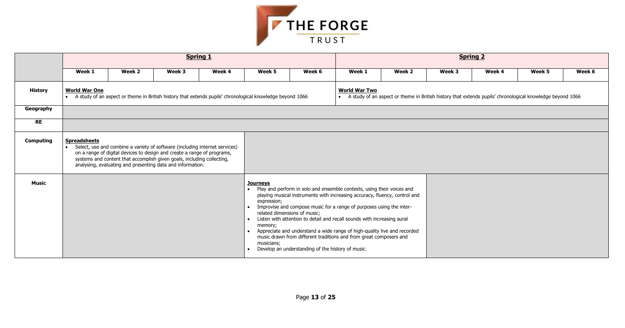| k 4 | Week 5                              | Week 6 |
|-----|-------------------------------------|--------|
|     | chronological knowledge beyond 1066 |        |
|     |                                     |        |
|     |                                     |        |
|     |                                     |        |
|     |                                     |        |
|     |                                     |        |
|     |                                     |        |
|     |                                     |        |
|     |                                     |        |
|     |                                     |        |
|     |                                     |        |
|     |                                     |        |
|     |                                     |        |



|                  |                      |        |                                                                                                                                                                                                                                                                                                | <b>Spring 1</b> |                                                                                                             |                                                                                   | <b>Spring 2</b>                                                                                                                                                                                                                                                                                                                                                                                                                                           |                   |                                                                                                             |        |        |        |  |  |
|------------------|----------------------|--------|------------------------------------------------------------------------------------------------------------------------------------------------------------------------------------------------------------------------------------------------------------------------------------------------|-----------------|-------------------------------------------------------------------------------------------------------------|-----------------------------------------------------------------------------------|-----------------------------------------------------------------------------------------------------------------------------------------------------------------------------------------------------------------------------------------------------------------------------------------------------------------------------------------------------------------------------------------------------------------------------------------------------------|-------------------|-------------------------------------------------------------------------------------------------------------|--------|--------|--------|--|--|
|                  | Week 1               | Week 2 | Week 3                                                                                                                                                                                                                                                                                         | Week 4          | Week 5                                                                                                      | Week 6                                                                            | Week 1                                                                                                                                                                                                                                                                                                                                                                                                                                                    | Week <sub>2</sub> | Week 3                                                                                                      | Week 4 | Week 5 | Week 6 |  |  |
| <b>History</b>   | <b>World War One</b> |        | A study of an aspect or theme in British history that extends pupils' chronological knowledge beyond 1066                                                                                                                                                                                      |                 |                                                                                                             |                                                                                   | <b>World War Two</b>                                                                                                                                                                                                                                                                                                                                                                                                                                      |                   | • A study of an aspect or theme in British history that extends pupils' chronological knowledge beyond 1066 |        |        |        |  |  |
| Geography        |                      |        |                                                                                                                                                                                                                                                                                                |                 |                                                                                                             |                                                                                   |                                                                                                                                                                                                                                                                                                                                                                                                                                                           |                   |                                                                                                             |        |        |        |  |  |
| <b>RE</b>        |                      |        |                                                                                                                                                                                                                                                                                                |                 |                                                                                                             |                                                                                   |                                                                                                                                                                                                                                                                                                                                                                                                                                                           |                   |                                                                                                             |        |        |        |  |  |
| <b>Computing</b> | <b>Spreadsheets</b>  |        | Select, use and combine a variety of software (including internet services)<br>on a range of digital devices to design and create a range of programs,<br>systems and content that accomplish given goals, including collecting,<br>analysing, evaluating and presenting data and information. |                 |                                                                                                             |                                                                                   |                                                                                                                                                                                                                                                                                                                                                                                                                                                           |                   |                                                                                                             |        |        |        |  |  |
| <b>Music</b>     |                      |        |                                                                                                                                                                                                                                                                                                |                 | <b>Journeys</b><br>$\bullet$<br>expression;<br>$\bullet$<br>$\bullet$<br>memory;<br>$\bullet$<br>musicians; | related dimensions of music;<br>Develop an understanding of the history of music. | Play and perform in solo and ensemble contexts, using their voices and<br>playing musical instruments with increasing accuracy, fluency, control and<br>Improvise and compose music for a range of purposes using the inter-<br>Listen with attention to detail and recall sounds with increasing aural<br>Appreciate and understand a wide range of high-quality live and recorded<br>music drawn from different traditions and from great composers and |                   |                                                                                                             |        |        |        |  |  |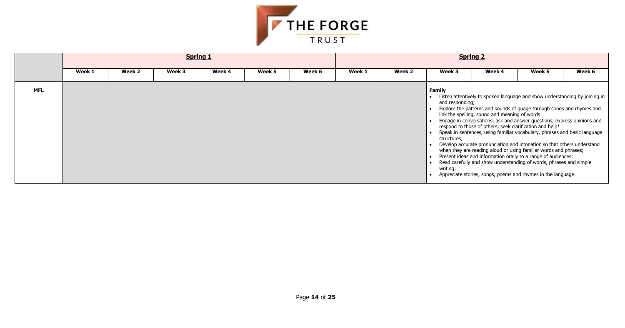

|            |        |        |        | <b>Spring 1</b> |        |        | <b>Spring 2</b> |        |                                                             |                                               |                                                                                                                                                                                                                                                                                                                                                                                                                                                                                                                                                                                                                                                                                                                               |        |  |  |
|------------|--------|--------|--------|-----------------|--------|--------|-----------------|--------|-------------------------------------------------------------|-----------------------------------------------|-------------------------------------------------------------------------------------------------------------------------------------------------------------------------------------------------------------------------------------------------------------------------------------------------------------------------------------------------------------------------------------------------------------------------------------------------------------------------------------------------------------------------------------------------------------------------------------------------------------------------------------------------------------------------------------------------------------------------------|--------|--|--|
|            | Week 1 | Week 2 | Week 3 | Week 4          | Week 5 | Week 6 | Week 1          | Week 2 | Week 3                                                      | Week 4                                        | Week 5                                                                                                                                                                                                                                                                                                                                                                                                                                                                                                                                                                                                                                                                                                                        | Week 6 |  |  |
| <b>MFL</b> |        |        |        |                 |        |        |                 |        | <b>Family</b><br>and responding;<br>structures;<br>writing; | link the spelling, sound and meaning of words | Listen attentively to spoken language and show understanding by joining in<br>Explore the patterns and sounds of guage through songs and rhymes and<br>Engage in conversations; ask and answer questions; express opinions and<br>respond to those of others; seek clarification and help*<br>Speak in sentences, using familiar vocabulary, phrases and basic language<br>Develop accurate pronunciation and intonation so that others understand<br>when they are reading aloud or using familiar words and phrases;<br>Present ideas and information orally to a range of audiences;<br>Read carefully and show understanding of words, phrases and simple<br>Appreciate stories, songs, poems and rhymes in the language. |        |  |  |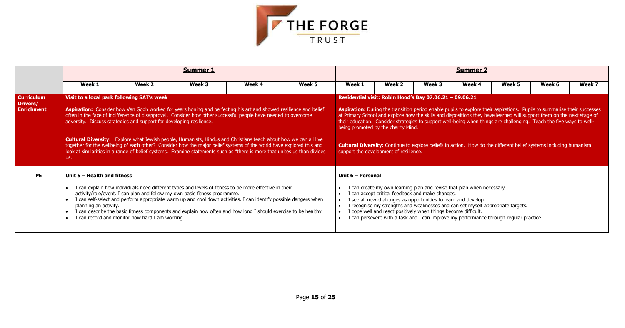

|                                                    |                                                      |                                                                                                                    | <b>Summer 1</b>                                                                                                                                                                                                                                                                                                                                                                                                                                                                                                                                                                                            |        |        | <b>Summer 2</b>   |                                                                                                                                                                                                                                                                                                                                                                                                                                                                                                                                                                                                                                                           |        |        |        |        |        |  |  |
|----------------------------------------------------|------------------------------------------------------|--------------------------------------------------------------------------------------------------------------------|------------------------------------------------------------------------------------------------------------------------------------------------------------------------------------------------------------------------------------------------------------------------------------------------------------------------------------------------------------------------------------------------------------------------------------------------------------------------------------------------------------------------------------------------------------------------------------------------------------|--------|--------|-------------------|-----------------------------------------------------------------------------------------------------------------------------------------------------------------------------------------------------------------------------------------------------------------------------------------------------------------------------------------------------------------------------------------------------------------------------------------------------------------------------------------------------------------------------------------------------------------------------------------------------------------------------------------------------------|--------|--------|--------|--------|--------|--|--|
|                                                    | Week 1                                               | Week 2                                                                                                             | Week 3                                                                                                                                                                                                                                                                                                                                                                                                                                                                                                                                                                                                     | Week 4 | Week 5 | Week 1            | Week 2                                                                                                                                                                                                                                                                                                                                                                                                                                                                                                                                                                                                                                                    | Week 3 | Week 4 | Week 5 | Week 6 | Week 7 |  |  |
| <b>Curriculum</b><br>Drivers/<br><b>Enrichment</b> | us.                                                  | Visit to a local park following SAT's week<br>adversity. Discuss strategies and support for developing resilience. | Aspiration: Consider how Van Gogh worked for years honing and perfecting his art and showed resilience and belief<br>often in the face of indifference of disapproval. Consider how other successful people have needed to overcome<br>Cultural Diversity: Explore what Jewish people, Humanists, Hindus and Christians teach about how we can all live<br>together for the wellbeing of each other? Consider how the major belief systems of the world have explored this and<br>look at similarities in a range of belief systems. Examine statements such as "there is more that unites us than divides |        |        |                   | Residential visit: Robin Hood's Bay 07.06.21 - 09.06.21<br><b>Aspiration:</b> During the transition period enable pupils to explore their aspirations. Pupils to summarise their successes<br>at Primary School and explore how the skills and dispositions they have learned will support them on the next stage of<br>their education. Consider strategies to support well-being when things are challenging. Teach the five ways to well-<br>being promoted by the charity Mind.<br><b>Cultural Diversity:</b> Continue to explore beliefs in action. How do the different belief systems including humanism<br>support the development of resilience. |        |        |        |        |        |  |  |
| <b>PE</b>                                          | Unit 5 - Health and fitness<br>planning an activity. | I can record and monitor how hard I am working.                                                                    | I can explain how individuals need different types and levels of fitness to be more effective in their<br>activity/role/event. I can plan and follow my own basic fitness programme.<br>I can self-select and perform appropriate warm up and cool down activities. I can identify possible dangers when<br>I can describe the basic fitness components and explain how often and how long I should exercise to be healthy.                                                                                                                                                                                |        |        | Unit 6 - Personal | I can create my own learning plan and revise that plan when necessary.<br>I can accept critical feedback and make changes.<br>see all new challenges as opportunities to learn and develop.<br>frecognise my strengths and weaknesses and can set myself appropriate targets.<br>cope well and react positively when things become difficult.<br>I can persevere with a task and I can improve my performance through regular practice.                                                                                                                                                                                                                   |        |        |        |        |        |  |  |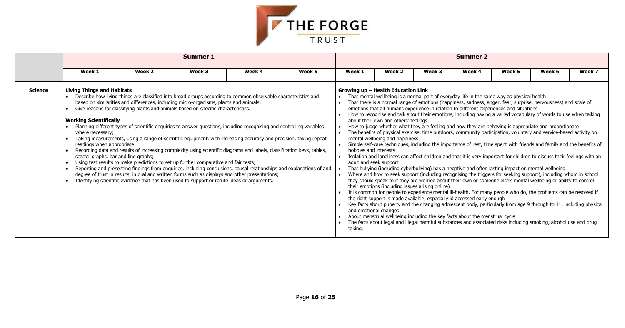

|                | <b>Summer 1</b>                                                                                                                                              |                                                                                                                                                                                                                                                                                                                                                                                                                                                                                                                                                                                                                                                                                                                                                                                                                                                                                                                                                                                                                                                                                          |        |        |        |                                                                                     |                                                                                                                                                                                                                                                                                                                                                                                                                                                                                                                                                                                                                                                                                                                                                                                                                                                                                                                                                                                                                                                                                                                                                                                                                                                                                                                                                                                                                                                                                                                                                                                                                                                                                                                                                                                                                                                                                                                                                                  |        | <b>Summer 2</b> |        |        |        |
|----------------|--------------------------------------------------------------------------------------------------------------------------------------------------------------|------------------------------------------------------------------------------------------------------------------------------------------------------------------------------------------------------------------------------------------------------------------------------------------------------------------------------------------------------------------------------------------------------------------------------------------------------------------------------------------------------------------------------------------------------------------------------------------------------------------------------------------------------------------------------------------------------------------------------------------------------------------------------------------------------------------------------------------------------------------------------------------------------------------------------------------------------------------------------------------------------------------------------------------------------------------------------------------|--------|--------|--------|-------------------------------------------------------------------------------------|------------------------------------------------------------------------------------------------------------------------------------------------------------------------------------------------------------------------------------------------------------------------------------------------------------------------------------------------------------------------------------------------------------------------------------------------------------------------------------------------------------------------------------------------------------------------------------------------------------------------------------------------------------------------------------------------------------------------------------------------------------------------------------------------------------------------------------------------------------------------------------------------------------------------------------------------------------------------------------------------------------------------------------------------------------------------------------------------------------------------------------------------------------------------------------------------------------------------------------------------------------------------------------------------------------------------------------------------------------------------------------------------------------------------------------------------------------------------------------------------------------------------------------------------------------------------------------------------------------------------------------------------------------------------------------------------------------------------------------------------------------------------------------------------------------------------------------------------------------------------------------------------------------------------------------------------------------------|--------|-----------------|--------|--------|--------|
|                | Week 1                                                                                                                                                       | Week 2                                                                                                                                                                                                                                                                                                                                                                                                                                                                                                                                                                                                                                                                                                                                                                                                                                                                                                                                                                                                                                                                                   | Week 3 | Week 4 | Week 5 | Week 1                                                                              | Week 2                                                                                                                                                                                                                                                                                                                                                                                                                                                                                                                                                                                                                                                                                                                                                                                                                                                                                                                                                                                                                                                                                                                                                                                                                                                                                                                                                                                                                                                                                                                                                                                                                                                                                                                                                                                                                                                                                                                                                           | Week 3 | Week 4          | Week 5 | Week 6 | Week 7 |
| <b>Science</b> | <b>Living Things and Habitats</b><br><b>Working Scientifically</b><br>where necessary;<br>readings when appropriate;<br>scatter graphs, bar and line graphs; | Describe how living things are classified into broad groups according to common observable characteristics and<br>based on similarities and differences, including micro-organisms, plants and animals;<br>Give reasons for classifying plants and animals based on specific characteristics.<br>Planning different types of scientific enquiries to answer questions, including recognising and controlling variables<br>Taking measurements, using a range of scientific equipment, with increasing accuracy and precision, taking repeat<br>Recording data and results of increasing complexity using scientific diagrams and labels, classification keys, tables,<br>Using test results to make predictions to set up further comparative and fair tests;<br>Reporting and presenting findings from enquiries, including conclusions, causal relationships and explanations of and<br>degree of trust in results, in oral and written forms such as displays and other presentations;<br>Identifying scientific evidence that has been used to support or refute ideas or arguments. |        |        |        | hobbies and interests<br>adult and seek support<br>and emotional changes<br>taking. | Growing up – Health Education Link<br>That mental wellbeing is a normal part of everyday life in the same way as physical health<br>That there is a normal range of emotions (happiness, sadness, anger, fear, surprise, nervousness) and scale of<br>emotions that all humans experience in relation to different experiences and situations<br>How to recognise and talk about their emotions, including having a varied vocabulary of words to use when talking<br>about their own and others' feelings<br>How to judge whether what they are feeling and how they are behaving is appropriate and proportionate<br>The benefits of physical exercise, time outdoors, community participation, voluntary and service-based activity on<br>mental wellbeing and happiness<br>Simple self-care techniques, including the importance of rest, time spent with friends and family and the benefits of<br>Isolation and loneliness can affect children and that it is very important for children to discuss their feelings with an<br>That bullying (including cyberbullying) has a negative and often lasting impact on mental wellbeing<br>Where and how to seek support (including recognising the triggers for seeking support), including whom in school<br>they should speak to if they are worried about their own or someone else's mental wellbeing or ability to control<br>their emotions (including issues arising online)<br>It is common for people to experience mental ill-health. For many people who do, the problems can be resolved if<br>the right support is made available, especially id accessed early enough<br>Key facts about puberty and the changing adolescent body, particularly from age 9 through to 11, including physical<br>About menstrual wellbeing including the key facts about the menstrual cycle<br>The facts about legal and illegal harmful substances and associated risks including smoking, alcohol use and drug |        |                 |        |        |        |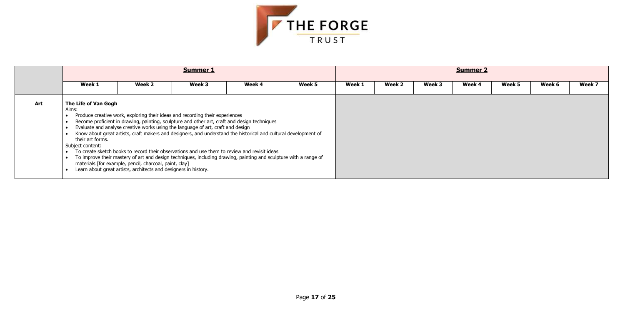

|     |                                                                              | <b>Summer 2</b>                                                                                                                                                                                                                                                                                                                                                                                                                                                                                                                                                                                                                                                                                                                     |        |        |        |        |        |        |        |        |        |        |
|-----|------------------------------------------------------------------------------|-------------------------------------------------------------------------------------------------------------------------------------------------------------------------------------------------------------------------------------------------------------------------------------------------------------------------------------------------------------------------------------------------------------------------------------------------------------------------------------------------------------------------------------------------------------------------------------------------------------------------------------------------------------------------------------------------------------------------------------|--------|--------|--------|--------|--------|--------|--------|--------|--------|--------|
|     | Week 1                                                                       | Week 2                                                                                                                                                                                                                                                                                                                                                                                                                                                                                                                                                                                                                                                                                                                              | Week 3 | Week 4 | Week 5 | Week 1 | Week 2 | Week 3 | Week 4 | Week 5 | Week 6 | Week 7 |
| Art | <b>The Life of Van Gogh</b><br>Aims:<br>their art forms.<br>Subject content: | Produce creative work, exploring their ideas and recording their experiences<br>Become proficient in drawing, painting, sculpture and other art, craft and design techniques<br>Evaluate and analyse creative works using the language of art, craft and design<br>Know about great artists, craft makers and designers, and understand the historical and cultural development of<br>To create sketch books to record their observations and use them to review and revisit ideas<br>To improve their mastery of art and design techniques, including drawing, painting and sculpture with a range of<br>materials [for example, pencil, charcoal, paint, clay]<br>Learn about great artists, architects and designers in history. |        |        |        |        |        |        |        |        |        |        |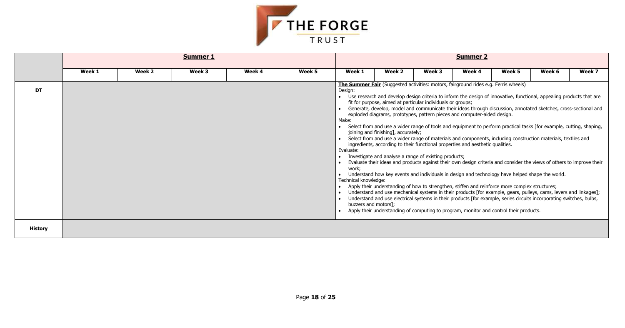

|                |        |        | <b>Summer 1</b> |        |        |                                                                                        |                                                                                                                                                             |        | <b>Summer 2</b>                                                                                                                                                                                                                                                                                                                                                                                                                                                                                                                                                                                                                                                                                                                                                                                                                                                                                                                                                                                                                                                                                                                                                                                                                                                                                                                                                                                            |        |        |        |
|----------------|--------|--------|-----------------|--------|--------|----------------------------------------------------------------------------------------|-------------------------------------------------------------------------------------------------------------------------------------------------------------|--------|------------------------------------------------------------------------------------------------------------------------------------------------------------------------------------------------------------------------------------------------------------------------------------------------------------------------------------------------------------------------------------------------------------------------------------------------------------------------------------------------------------------------------------------------------------------------------------------------------------------------------------------------------------------------------------------------------------------------------------------------------------------------------------------------------------------------------------------------------------------------------------------------------------------------------------------------------------------------------------------------------------------------------------------------------------------------------------------------------------------------------------------------------------------------------------------------------------------------------------------------------------------------------------------------------------------------------------------------------------------------------------------------------------|--------|--------|--------|
|                | Week 1 | Week 2 | Week 3          | Week 4 | Week 5 | Week 1                                                                                 | Week 2                                                                                                                                                      | Week 3 | Week 4                                                                                                                                                                                                                                                                                                                                                                                                                                                                                                                                                                                                                                                                                                                                                                                                                                                                                                                                                                                                                                                                                                                                                                                                                                                                                                                                                                                                     | Week 5 | Week 6 | Week 7 |
| <b>DT</b>      |        |        |                 |        |        | Design:<br>Make:<br>Evaluate:<br>work;<br>Technical knowledge:<br>buzzers and motors]; | fit for purpose, aimed at particular individuals or groups;<br>joining and finishing], accurately;<br>Investigate and analyse a range of existing products; |        | The Summer Fair (Suggested activities: motors, fairground rides e.g. Ferris wheels)<br>Use research and develop design criteria to inform the design of innovative, functional, appealing products that are<br>Generate, develop, model and communicate their ideas through discussion, annotated sketches, cross-sectional and<br>exploded diagrams, prototypes, pattern pieces and computer-aided design.<br>Select from and use a wider range of tools and equipment to perform practical tasks [for example, cutting, shaping,<br>Select from and use a wider range of materials and components, including construction materials, textiles and<br>ingredients, according to their functional properties and aesthetic qualities.<br>Evaluate their ideas and products against their own design criteria and consider the views of others to improve their<br>Understand how key events and individuals in design and technology have helped shape the world.<br>Apply their understanding of how to strengthen, stiffen and reinforce more complex structures;<br>Understand and use mechanical systems in their products [for example, gears, pulleys, cams, levers and linkages];<br>Understand and use electrical systems in their products [for example, series circuits incorporating switches, bulbs,<br>Apply their understanding of computing to program, monitor and control their products. |        |        |        |
| <b>History</b> |        |        |                 |        |        |                                                                                        |                                                                                                                                                             |        |                                                                                                                                                                                                                                                                                                                                                                                                                                                                                                                                                                                                                                                                                                                                                                                                                                                                                                                                                                                                                                                                                                                                                                                                                                                                                                                                                                                                            |        |        |        |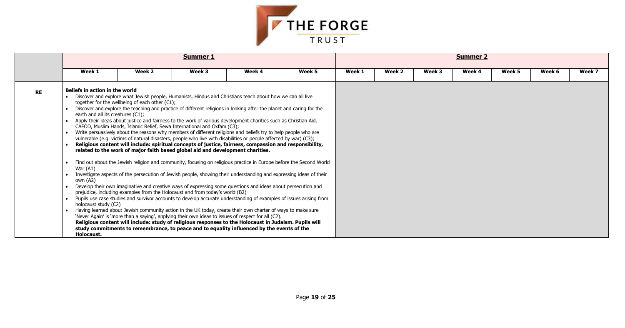

|           |                                                                                                                                            |                                                                                                                                                                                                                                                                                                                                                                                                                                                                                                                                                                                                                                                                                                                                                                                                                                                                                                                                                                                                                                                                                                                                                                                                                                                                                                                                                                                                                                                                                                                                                                                                                                                                                                                                                                                                                                                                                                                        | <b>Summer 1</b> |        |        |        |        |        | <b>Summer 2</b> |        |        |        |
|-----------|--------------------------------------------------------------------------------------------------------------------------------------------|------------------------------------------------------------------------------------------------------------------------------------------------------------------------------------------------------------------------------------------------------------------------------------------------------------------------------------------------------------------------------------------------------------------------------------------------------------------------------------------------------------------------------------------------------------------------------------------------------------------------------------------------------------------------------------------------------------------------------------------------------------------------------------------------------------------------------------------------------------------------------------------------------------------------------------------------------------------------------------------------------------------------------------------------------------------------------------------------------------------------------------------------------------------------------------------------------------------------------------------------------------------------------------------------------------------------------------------------------------------------------------------------------------------------------------------------------------------------------------------------------------------------------------------------------------------------------------------------------------------------------------------------------------------------------------------------------------------------------------------------------------------------------------------------------------------------------------------------------------------------------------------------------------------------|-----------------|--------|--------|--------|--------|--------|-----------------|--------|--------|--------|
|           | Week 1                                                                                                                                     | Week 2                                                                                                                                                                                                                                                                                                                                                                                                                                                                                                                                                                                                                                                                                                                                                                                                                                                                                                                                                                                                                                                                                                                                                                                                                                                                                                                                                                                                                                                                                                                                                                                                                                                                                                                                                                                                                                                                                                                 | Week 3          | Week 4 | Week 5 | Week 1 | Week 2 | Week 3 | Week 4          | Week 5 | Week 6 | Week 7 |
| <b>RE</b> | <b>Beliefs in action in the world</b><br>earth and all its creatures (C1);<br>War $(A1)$<br>own (A2)<br>holocaust study (C2)<br>Holocaust. | Discover and explore what Jewish people, Humanists, Hindus and Christians teach about how we can all live<br>together for the wellbeing of each other (C1);<br>Discover and explore the teaching and practice of different religions in looking after the planet and caring for the<br>Apply their ideas about justice and fairness to the work of various development charities such as Christian Aid,<br>CAFOD, Muslim Hands, Islamic Relief, Sewa International and Oxfam (C3);<br>Write persuasively about the reasons why members of different religions and beliefs try to help people who are<br>vulnerable (e.g. victims of natural disasters, people who live with disabilities or people affected by war) (C3);<br>Religious content will include: spiritual concepts of justice, fairness, compassion and responsibility,<br>related to the work of major faith based global aid and development charities.<br>Find out about the Jewish religion and community, focusing on religious practice in Europe before the Second World<br>Investigate aspects of the persecution of Jewish people, showing their understanding and expressing ideas of their<br>Develop their own imaginative and creative ways of expressing some questions and ideas about persecution and<br>prejudice, including examples from the Holocaust and from today's world (B2)<br>• Pupils use case studies and survivor accounts to develop accurate understanding of examples of issues arising from<br>Having learned about Jewish community action in the UK today, create their own charter of ways to make sure<br>'Never Again' is 'more than a saying', applying their own ideas to issues of respect for all (C2).<br>Religious content will include: study of religious responses to the Holocaust in Judaism. Pupils will<br>study commitments to remembrance, to peace and to equality influenced by the events of the |                 |        |        |        |        |        |                 |        |        |        |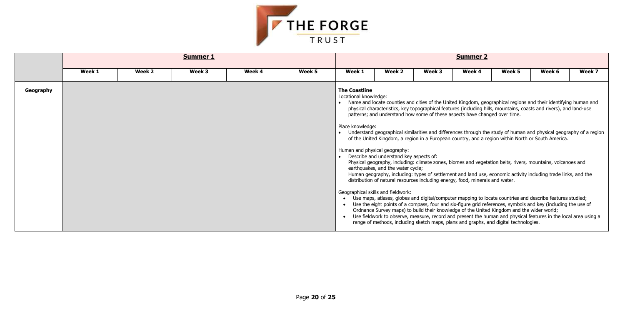

|           |        |        | <b>Summer 1</b> |        | <b>Summer 2</b> |                                                                                                    |                                                                                                                                                                                                                                                                                                                                                                                                                                                                                                                                                                                                                                                                                                                                                                                                                                                                                                                                                                                                                                                                                                                                                                                                                                                                                                                                                                                                                                                                                                                                     |        |        |        |        |        |  |
|-----------|--------|--------|-----------------|--------|-----------------|----------------------------------------------------------------------------------------------------|-------------------------------------------------------------------------------------------------------------------------------------------------------------------------------------------------------------------------------------------------------------------------------------------------------------------------------------------------------------------------------------------------------------------------------------------------------------------------------------------------------------------------------------------------------------------------------------------------------------------------------------------------------------------------------------------------------------------------------------------------------------------------------------------------------------------------------------------------------------------------------------------------------------------------------------------------------------------------------------------------------------------------------------------------------------------------------------------------------------------------------------------------------------------------------------------------------------------------------------------------------------------------------------------------------------------------------------------------------------------------------------------------------------------------------------------------------------------------------------------------------------------------------------|--------|--------|--------|--------|--------|--|
|           | Week 1 | Week 2 | Week 3          | Week 4 | Week 5          | Week 1                                                                                             | Week 2                                                                                                                                                                                                                                                                                                                                                                                                                                                                                                                                                                                                                                                                                                                                                                                                                                                                                                                                                                                                                                                                                                                                                                                                                                                                                                                                                                                                                                                                                                                              | Week 3 | Week 4 | Week 5 | Week 6 | Week 7 |  |
| Geography |        |        |                 |        |                 | <b>The Coastline</b><br>Locational knowledge:<br>Place knowledge:<br>Human and physical geography: | • Name and locate counties and cities of the United Kingdom, geographical regions and their identifying human and<br>physical characteristics, key topographical features (including hills, mountains, coasts and rivers), and land-use<br>patterns; and understand how some of these aspects have changed over time.<br>• Understand geographical similarities and differences through the study of human and physical geography of a region<br>of the United Kingdom, a region in a European country, and a region within North or South America.<br>• Describe and understand key aspects of:<br>Physical geography, including: climate zones, biomes and vegetation belts, rivers, mountains, volcanoes and<br>earthquakes, and the water cycle;<br>Human geography, including: types of settlement and land use, economic activity including trade links, and the<br>distribution of natural resources including energy, food, minerals and water.<br>Geographical skills and fieldwork:<br>Use maps, atlases, globes and digital/computer mapping to locate countries and describe features studied;<br>Use the eight points of a compass, four and six-figure grid references, symbols and key (including the use of<br>Ordnance Survey maps) to build their knowledge of the United Kingdom and the wider world;<br>Use fieldwork to observe, measure, record and present the human and physical features in the local area using a<br>range of methods, including sketch maps, plans and graphs, and digital technologies. |        |        |        |        |        |  |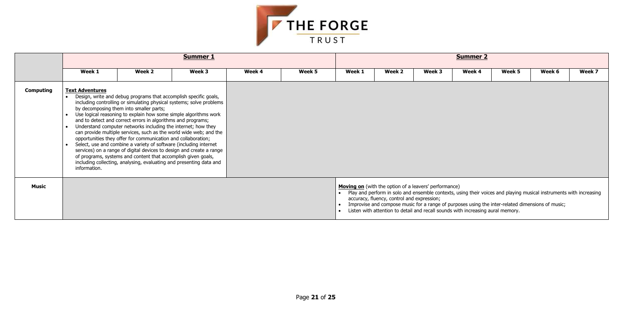

|              |                                        |                                                                                                                                                                                                                                                                                                                                                                                                                                                                                                                                                                                                                                                                                                                                                                                                                      | <b>Summer 1</b> |        |        |        |                                                                                                                                                                                                                                                                                                                                                                                                                         | <b>Summer 2</b> |        |        |        |        |
|--------------|----------------------------------------|----------------------------------------------------------------------------------------------------------------------------------------------------------------------------------------------------------------------------------------------------------------------------------------------------------------------------------------------------------------------------------------------------------------------------------------------------------------------------------------------------------------------------------------------------------------------------------------------------------------------------------------------------------------------------------------------------------------------------------------------------------------------------------------------------------------------|-----------------|--------|--------|--------|-------------------------------------------------------------------------------------------------------------------------------------------------------------------------------------------------------------------------------------------------------------------------------------------------------------------------------------------------------------------------------------------------------------------------|-----------------|--------|--------|--------|--------|
|              | Week 1                                 | Week 2                                                                                                                                                                                                                                                                                                                                                                                                                                                                                                                                                                                                                                                                                                                                                                                                               | Week 3          | Week 4 | Week 5 | Week 1 | Week 2                                                                                                                                                                                                                                                                                                                                                                                                                  | Week 3          | Week 4 | Week 5 | Week 6 | Week 7 |
| Computing    | <b>Text Adventures</b><br>information. | Design, write and debug programs that accomplish specific goals,<br>including controlling or simulating physical systems; solve problems<br>by decomposing them into smaller parts;<br>Use logical reasoning to explain how some simple algorithms work<br>and to detect and correct errors in algorithms and programs;<br>Understand computer networks including the internet; how they<br>can provide multiple services, such as the world wide web; and the<br>opportunities they offer for communication and collaboration;<br>Select, use and combine a variety of software (including internet<br>services) on a range of digital devices to design and create a range<br>of programs, systems and content that accomplish given goals,<br>including collecting, analysing, evaluating and presenting data and |                 |        |        |        |                                                                                                                                                                                                                                                                                                                                                                                                                         |                 |        |        |        |        |
| <b>Music</b> |                                        |                                                                                                                                                                                                                                                                                                                                                                                                                                                                                                                                                                                                                                                                                                                                                                                                                      |                 |        |        |        | <b>Moving on</b> (with the option of a leavers' performance)<br>Play and perform in solo and ensemble contexts, using their voices and playing musical instruments with increasing<br>accuracy, fluency, control and expression;<br>Improvise and compose music for a range of purposes using the inter-related dimensions of music;<br>Listen with attention to detail and recall sounds with increasing aural memory. |                 |        |        |        |        |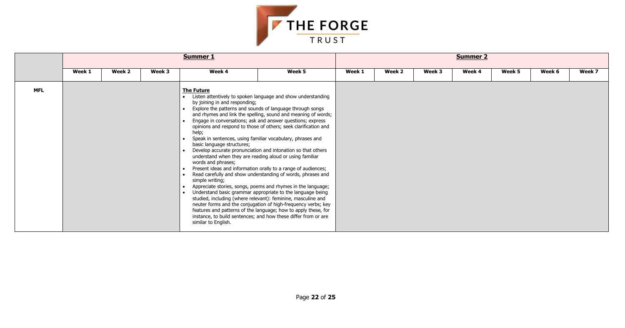

|            |        |        |        | <b>Summer 1</b>                                                                                                                                                                                                       |                                                                                                                                                                                                                                                                                                                                                                                                                                                                                                                                                                                                                                                                                                                                                                                                                                                                                                                                                                                              |        |        |        | <b>Summer 2</b> |        |        |        |
|------------|--------|--------|--------|-----------------------------------------------------------------------------------------------------------------------------------------------------------------------------------------------------------------------|----------------------------------------------------------------------------------------------------------------------------------------------------------------------------------------------------------------------------------------------------------------------------------------------------------------------------------------------------------------------------------------------------------------------------------------------------------------------------------------------------------------------------------------------------------------------------------------------------------------------------------------------------------------------------------------------------------------------------------------------------------------------------------------------------------------------------------------------------------------------------------------------------------------------------------------------------------------------------------------------|--------|--------|--------|-----------------|--------|--------|--------|
|            | Week 1 | Week 2 | Week 3 | Week 4                                                                                                                                                                                                                | Week 5                                                                                                                                                                                                                                                                                                                                                                                                                                                                                                                                                                                                                                                                                                                                                                                                                                                                                                                                                                                       | Week 1 | Week 2 | Week 3 | Week 4          | Week 5 | Week 6 | Week 7 |
| <b>MFL</b> |        |        |        | <b>The Future</b><br>by joining in and responding;<br>help;<br>basic language structures;<br>understand when they are reading aloud or using familiar<br>words and phrases;<br>simple writing;<br>similar to English. | Listen attentively to spoken language and show understanding<br>Explore the patterns and sounds of language through songs<br>and rhymes and link the spelling, sound and meaning of words;<br>Engage in conversations; ask and answer questions; express<br>opinions and respond to those of others; seek clarification and<br>Speak in sentences, using familiar vocabulary, phrases and<br>Develop accurate pronunciation and intonation so that others<br>Present ideas and information orally to a range of audiences;<br>Read carefully and show understanding of words, phrases and<br>Appreciate stories, songs, poems and rhymes in the language;<br>Understand basic grammar appropriate to the language being<br>studied, including (where relevant): feminine, masculine and<br>neuter forms and the conjugation of high-frequency verbs; key<br>features and patterns of the language; how to apply these, for<br>instance, to build sentences; and how these differ from or are |        |        |        |                 |        |        |        |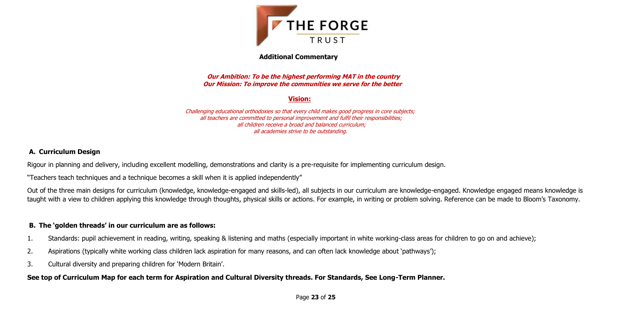

## **Additional Commentary**

**Our Ambition: To be the highest performing MAT in the country Our Mission: To improve the communities we serve for the better**

# **Vision:**

Challenging educational orthodoxies so that every child makes good progress in core subjects; all teachers are committed to personal improvement and fulfil their responsibilities; all children receive a broad and balanced curriculum; all academies strive to be outstanding.

# **A. Curriculum Design**

Rigour in planning and delivery, including excellent modelling, demonstrations and clarity is a pre-requisite for implementing curriculum design.

"Teachers teach techniques and a technique becomes a skill when it is applied independently"

Out of the three main designs for curriculum (knowledge, knowledge-engaged and skills-led), all subjects in our curriculum are knowledge-engaged. Knowledge engaged means knowledge is taught with a view to children applying this knowledge through thoughts, physical skills or actions. For example, in writing or problem solving. Reference can be made to Bloom's Taxonomy.

# **B. The 'golden threads' in our curriculum are as follows:**

- 1. Standards: pupil achievement in reading, writing, speaking & listening and maths (especially important in white working-class areas for children to go on and achieve);
- 2. Aspirations (typically white working class children lack aspiration for many reasons, and can often lack knowledge about 'pathways');
- 3. Cultural diversity and preparing children for 'Modern Britain'.

# **See top of Curriculum Map for each term for Aspiration and Cultural Diversity threads. For Standards, See Long-Term Planner.**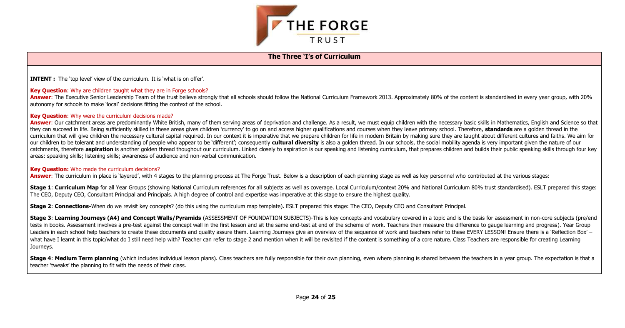

## **The Three 'I's of Curriculum**

**INTENT :** The 'top level' view of the curriculum. It is 'what is on offer'.

#### **Key Question:** Why are children taught what they are in Forge schools?

Answer: The Executive Senior Leadership Team of the trust believe strongly that all schools should follow the National Curriculum Framework 2013. Approximately 80% of the content is standardised in every year group, with 2 autonomy for schools to make 'local' decisions fitting the context of the school.

#### **Key Question:** Why were the curriculum decisions made?

Answer: Our catchment areas are predominantly White British, many of them serving areas of deprivation and challenge. As a result, we must equip children with the necessary basic skills in Mathematics, English and Science they can succeed in life. Being sufficiently skilled in these areas gives children 'currency' to go on and access higher qualifications and courses when they leave primary school. Therefore, standards are a golden thread i curriculum that will give children the necessary cultural capital required. In our context it is imperative that we prepare children for life in modern Britain by making sure they are taught about different cultures and fa our children to be tolerant and understanding of people who appear to be 'different'; consequently cultural diversity is also a golden thread. In our schools, the social mobility agenda is very important given the nature o catchments, therefore aspiration is another golden thread thoughout our curriculum. Linked closely to aspiration is our speaking and listening curriculum, that prepares children and builds their public speaking skills thro areas: speaking skills; listening skills; awareness of audience and non-verbal communication.

Stage 1: Curriculum Map for all Year Groups (showing National Curriculum references for all subjects as well as coverage, Local Curriculum/context 20% and National Curriculum 80% trust standardised). ESLT prepared this sta The CEO, Deputy CEO, Consultant Principal and Principals. A high degree of control and expertise was imperative at this stage to ensure the highest quality.

Stage 3: Learning Journeys (A4) and Concept Walls/Pyramids (ASSESSMENT OF FOUNDATION SUBJECTS)-This is key concepts and vocabulary covered in a topic and is the basis for assessment in non-core subjects (pre/end tests in books. Assessment involves a pre-test against the concept wall in the first lesson and sit the same end-test at end of the scheme of work. Teachers then measure the difference to gauge learning and progress). Year Leaders in each school help teachers to create these documents and quality assure them. Learning Journeys give an overview of the sequence of work and teachers refer to these EVERY LESSON! Ensure there is a 'Reflection Box what have I learnt in this topic/what do I still need help with? Teacher can refer to stage 2 and mention when it will be revisited if the content is something of a core nature. Class Teachers are responsible for creating Journeys.

#### **Key Question:** Who made the curriculum decisions?

Answer: The curriculum in place is 'layered', with 4 stages to the planning process at The Forge Trust. Below is a description of each planning stage as well as key personnel who contributed at the various stages:

Stage 4: Medium Term planning (which includes individual lesson plans). Class teachers are fully responsible for their own planning, even where planning is shared between the teachers in a year group. The expectation is th teacher 'tweaks' the planning to fit with the needs of their class.

**Stage 2**: **Connections-**When do we revisit key concepts? (do this using the curriculum map template). ESLT prepared this stage: The CEO, Deputy CEO and Consultant Principal.